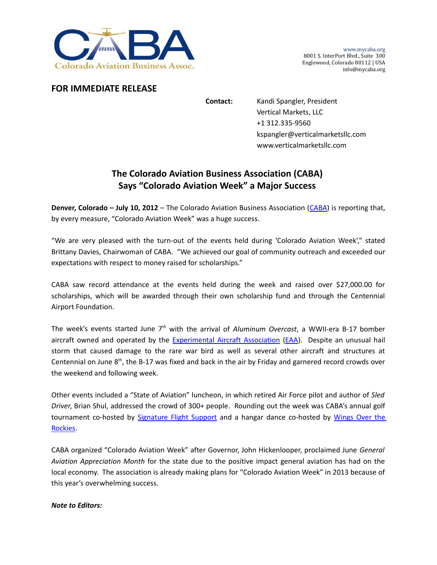

www.mycaba.org 8001 S. InterPort Blvd., Suite 300 Englewood, Colorado 80112 | USA info@mycaba.org

## **FOR IMMEDIATE RELEASE**

**Contact:** Kandi Spangler, President Vertical Markets, LLC +1 312.335‐9560 kspangler@verticalmarketsllc.com www.verticalmarketsllc.com

## **The Colorado Aviation Business Association (CABA) Says "Colorado Aviation Week" a Major Success**

**Denver, Colorado – July 10, 2012** – The Colorado Aviation Business Association (CABA) is reporting that, by every measure, "Colorado Aviation Week" was a huge success.

"We are very pleased with the turn‐out of the events held during 'Colorado Aviation Week'," stated Brittany Davies, Chairwoman of CABA. "We achieved our goal of community outreach and exceeded our expectations with respect to money raised for scholarships."

CABA saw record attendance at the events held during the week and raised over \$27,000.00 for scholarships, which will be awarded through their own scholarship fund and through the Centennial Airport Foundation.

The week's events started June 7<sup>th</sup> with the arrival of *Aluminum Overcast*, a WWII-era B-17 bomber aircraft owned and operated by the Experimental Aircraft Association (EAA). Despite an unusual hail storm that caused damage to the rare war bird as well as several other aircraft and structures at Centennial on June  $8<sup>th</sup>$ , the B-17 was fixed and back in the air by Friday and garnered record crowds over the weekend and following week.

Other events included a "State of Aviation" luncheon, in which retired Air Force pilot and author of *Sled Driver*, Brian Shul, addressed the crowd of 300+ people. Rounding out the week was CABA's annual golf tournament co-hosted by Signature Flight Support and a hangar dance co-hosted by Wings Over the Rockies.

CABA organized "Colorado Aviation Week" after Governor, John Hickenlooper, proclaimed June *General Aviation Appreciation Month* for the state due to the positive impact general aviation has had on the local economy. The association is already making plans for "Colorado Aviation Week" in 2013 because of this year's overwhelming success.

## *Note to Editors:*